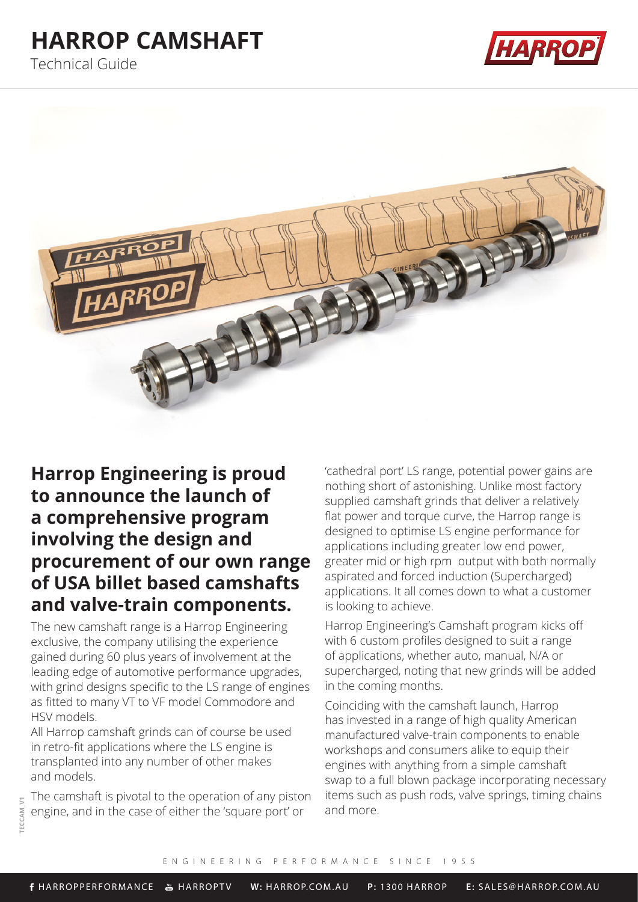# **HARROP CAMSHAFT**

Technical Guide





## **Harrop Engineering is proud to announce the launch of a comprehensive program involving the design and procurement of our own range of USA billet based camshafts and valve-train components.**

The new camshaft range is a Harrop Engineering exclusive, the company utilising the experience gained during 60 plus years of involvement at the leading edge of automotive performance upgrades, with grind designs specific to the LS range of engines as fitted to many VT to VF model Commodore and HSV models.

All Harrop camshaft grinds can of course be used in retro-fit applications where the LS engine is transplanted into any number of other makes and models.

The camshaft is pivotal to the operation of any piston engine, and in the case of either the 'square port' or

'cathedral port' LS range, potential power gains are nothing short of astonishing. Unlike most factory supplied camshaft grinds that deliver a relatively flat power and torque curve, the Harrop range is designed to optimise LS engine performance for applications including greater low end power, greater mid or high rpm output with both normally aspirated and forced induction (Supercharged) applications. It all comes down to what a customer is looking to achieve.

Harrop Engineering's Camshaft program kicks off with 6 custom profiles designed to suit a range of applications, whether auto, manual, N/A or supercharged, noting that new grinds will be added in the coming months.

Coinciding with the camshaft launch, Harrop has invested in a range of high quality American manufactured valve-train components to enable workshops and consumers alike to equip their engines with anything from a simple camshaft swap to a full blown package incorporating necessary items such as push rods, valve springs, timing chains and more.